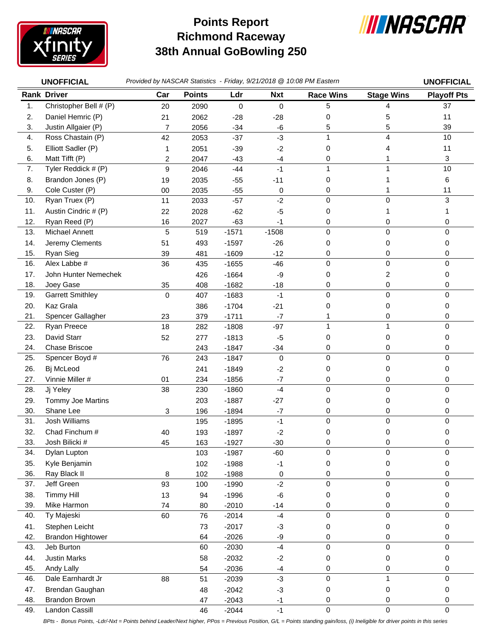

## **Richmond Raceway 38th Annual GoBowling 250 Points Report**



|     | <b>UNOFFICIAL</b>        | Provided by NASCAR Statistics - Friday, 9/21/2018 @ 10:08 PM Eastern |               |             |            |                     |                   | <b>UNOFFICIAL</b>  |
|-----|--------------------------|----------------------------------------------------------------------|---------------|-------------|------------|---------------------|-------------------|--------------------|
|     | <b>Rank Driver</b>       | Car                                                                  | <b>Points</b> | Ldr         | <b>Nxt</b> | <b>Race Wins</b>    | <b>Stage Wins</b> | <b>Playoff Pts</b> |
| 1.  | Christopher Bell # (P)   | 20                                                                   | 2090          | $\mathbf 0$ | 0          | 5                   | 4                 | 37                 |
| 2.  | Daniel Hemric (P)        | 21                                                                   | 2062          | $-28$       | $-28$      | 0                   | 5                 | 11                 |
| 3.  | Justin Allgaier (P)      | $\overline{7}$                                                       | 2056          | $-34$       | -6         | 5                   | 5                 | 39                 |
| 4.  | Ross Chastain (P)        | 42                                                                   | 2053          | $-37$       | $-3$       | 1                   | 4                 | 10                 |
| 5.  | Elliott Sadler (P)       | 1                                                                    | 2051          | $-39$       | $-2$       | 0                   | 4                 | 11                 |
| 6.  | Matt Tifft (P)           | 2                                                                    | 2047          | $-43$       | $-4$       | 0                   |                   | 3                  |
| 7.  | Tyler Reddick # (P)      | 9                                                                    | 2046          | $-44$       | $-1$       | $\mathbf{1}$        | 1                 | 10                 |
| 8.  | Brandon Jones (P)        | 19                                                                   | 2035          | $-55$       | $-11$      | 0                   |                   | 6                  |
| 9.  | Cole Custer (P)          | 00                                                                   | 2035          | $-55$       | 0          | 0                   |                   | 11                 |
| 10. | Ryan Truex (P)           | 11                                                                   | 2033          | $-57$       | $-2$       | $\mathbf 0$         | 0                 | 3                  |
| 11. | Austin Cindric # (P)     | 22                                                                   | 2028          | $-62$       | $-5$       | 0                   |                   | 1                  |
| 12. | Ryan Reed (P)            | 16                                                                   | 2027          | $-63$       | $-1$       | 0                   | 0                 | 0                  |
| 13. | Michael Annett           | 5                                                                    | 519           | $-1571$     | $-1508$    | $\mathbf 0$         | 0                 | 0                  |
| 14. | Jeremy Clements          | 51                                                                   | 493           | $-1597$     | $-26$      | 0                   | 0                 | 0                  |
| 15. | Ryan Sieg                | 39                                                                   | 481           | $-1609$     | $-12$      | 0                   | 0                 | 0                  |
| 16. | Alex Labbe #             | 36                                                                   | 435           | $-1655$     | $-46$      | $\mathbf 0$         | 0                 | 0                  |
| 17. | John Hunter Nemechek     |                                                                      | 426           | $-1664$     | $-9$       | 0                   | 2                 | 0                  |
| 18. | Joey Gase                | 35                                                                   | 408           | $-1682$     | $-18$      | 0                   | 0                 | 0                  |
| 19. | <b>Garrett Smithley</b>  | $\mathbf 0$                                                          | 407           | $-1683$     | $-1$       | $\mathbf 0$         | 0                 | 0                  |
| 20. | Kaz Grala                |                                                                      | 386           | $-1704$     | $-21$      | 0                   | 0                 | 0                  |
| 21. | Spencer Gallagher        | 23                                                                   | 379           | $-1711$     | $-7$       |                     | 0                 | 0                  |
| 22. | Ryan Preece              | 18                                                                   | 282           | $-1808$     | $-97$      | $\mathbf{1}$        | $\mathbf 1$       | 0                  |
| 23. | David Starr              | 52                                                                   | 277           | $-1813$     | $-5$       | 0                   | 0                 | 0                  |
| 24. | Chase Briscoe            |                                                                      | 243           | $-1847$     | $-34$      | 0                   | 0                 | 0                  |
| 25. | Spencer Boyd #           | 76                                                                   | 243           | $-1847$     | 0          | $\Omega$            | 0                 | 0                  |
| 26. | Bj McLeod                |                                                                      | 241           | $-1849$     | $-2$       | 0                   | 0                 | 0                  |
| 27. | Vinnie Miller #          | 01                                                                   | 234           | $-1856$     | $-7$       | 0                   | 0                 | 0                  |
| 28. | Jj Yeley                 | 38                                                                   | 230           | $-1860$     | $-4$       | $\mathbf 0$         | 0                 | 0                  |
| 29. | Tommy Joe Martins        |                                                                      | 203           | $-1887$     | $-27$      | 0                   | 0                 | 0                  |
| 30. | Shane Lee                | 3                                                                    | 196           | $-1894$     | $-7$       | 0                   | 0                 | 0                  |
| 31. | Josh Williams            |                                                                      | 195           | $-1895$     | $-1$       | $\pmb{0}$           | 0                 | 0                  |
| 32. | Chad Finchum #           | 40                                                                   | 193           | $-1897$     | $-2$       | 0                   | 0                 | 0                  |
| 33. | Josh Bilicki #           | 45                                                                   | 163           | $-1927$     | $-30$      | 0                   | 0                 | 0                  |
| 34. | Dylan Lupton             |                                                                      | 103           | $-1987$     | $-60$      | $\mathbf 0$         | 0                 | 0                  |
| 35. | Kyle Benjamin            |                                                                      | 102           | $-1988$     | $-1$       | 0                   | 0                 | 0                  |
| 36. | Ray Black II             | 8                                                                    | 102           | $-1988$     | 0          | 0                   | 0                 | 0                  |
| 37. | Jeff Green               | 93                                                                   | 100           | $-1990$     | $-2$       | $\mathbf 0$         | 0                 | 0                  |
| 38. | <b>Timmy Hill</b>        | 13                                                                   | 94            | $-1996$     | $-6$       | 0                   | 0                 | 0                  |
| 39. | Mike Harmon              | 74                                                                   | 80            | $-2010$     | $-14$      | 0                   | 0                 | 0                  |
| 40. | Ty Majeski               | 60                                                                   | 76            | $-2014$     | $-4$       | $\mathsf{O}\xspace$ | 0                 | 0                  |
| 41. | Stephen Leicht           |                                                                      | 73            | $-2017$     | $-3$       | 0                   | 0                 | 0                  |
| 42. | <b>Brandon Hightower</b> |                                                                      | 64            | $-2026$     | $-9$       | $\mathbf 0$         | 0                 | 0                  |
| 43. | Jeb Burton               |                                                                      | 60            | $-2030$     | $-4$       | $\mathsf{O}\xspace$ | 0                 | 0                  |
| 44. | <b>Justin Marks</b>      |                                                                      | 58            | $-2032$     | $-2$       | 0                   | 0                 | 0                  |
| 45. | Andy Lally               |                                                                      | 54            | $-2036$     | $-4$       | 0                   | 0                 | 0                  |
| 46. | Dale Earnhardt Jr        | 88                                                                   | 51            | $-2039$     | $-3$       | $\mathsf{O}\xspace$ | $\mathbf{1}$      | 0                  |
| 47. | Brendan Gaughan          |                                                                      | 48            | $-2042$     | $-3$       | 0                   | 0                 | 0                  |
| 48. | Brandon Brown            |                                                                      | 47            | $-2043$     | $-1$       | 0                   | 0                 | 0                  |
| 49. | Landon Cassill           |                                                                      | 46            | $-2044$     | $-1$       | $\mathbf 0$         | 0                 | 0                  |

*BPts - Bonus Points, -Ldr/-Nxt = Points behind Leader/Next higher, PPos = Previous Position, G/L = Points standing gain/loss, (i) Ineligible for driver points in this series*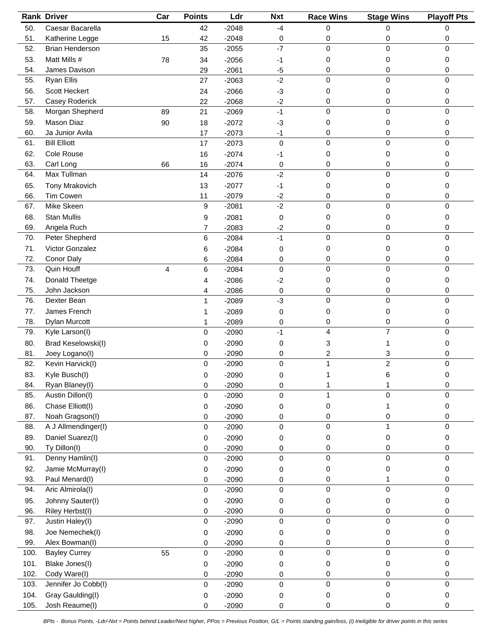|      | <b>Rank Driver</b>       | Car | <b>Points</b>       | Ldr     | <b>Nxt</b>       | <b>Race Wins</b> | <b>Stage Wins</b> | <b>Playoff Pts</b> |
|------|--------------------------|-----|---------------------|---------|------------------|------------------|-------------------|--------------------|
| 50.  | Caesar Bacarella         |     | 42                  | $-2048$ | $-4$             | 0                | 0                 | 0                  |
| 51.  | Katherine Legge          | 15  | 42                  | $-2048$ | 0                | 0                | 0                 | 0                  |
| 52.  | Brian Henderson          |     | 35                  | $-2055$ | $-7$             | $\mathbf 0$      | 0                 | 0                  |
| 53.  | Matt Mills #             | 78  | 34                  | $-2056$ | -1               | 0                | 0                 | 0                  |
| 54.  | James Davison            |     | 29                  | $-2061$ | $-5$             | 0                | 0                 | 0                  |
| 55.  | <b>Ryan Ellis</b>        |     | 27                  | $-2063$ | $-2$             | $\mathbf 0$      | $\mathbf 0$       | 0                  |
| 56.  | Scott Heckert            |     | 24                  | $-2066$ | $-3$             | 0                | 0                 | 0                  |
| 57.  | Casey Roderick           |     | 22                  | $-2068$ | $-2$             | 0                | 0                 | 0                  |
| 58.  | Morgan Shepherd          | 89  | 21                  | $-2069$ | $-1$             | 0                | $\mathbf 0$       | 0                  |
| 59.  | Mason Diaz               | 90  | 18                  | $-2072$ | $-3$             | 0                | 0                 | 0                  |
| 60.  | Ja Junior Avila          |     | 17                  | $-2073$ | $-1$             | 0                | 0                 | 0                  |
| 61.  | <b>Bill Elliott</b>      |     | 17                  | $-2073$ | $\mathbf 0$      | $\Omega$         | $\mathbf 0$       | 0                  |
| 62.  | Cole Rouse               |     |                     |         |                  |                  | 0                 |                    |
| 63.  |                          |     | 16                  | $-2074$ | -1               | 0                |                   | 0                  |
|      | Carl Long<br>Max Tullman | 66  | 16                  | $-2074$ | 0<br>$-2$        | 0<br>$\mathbf 0$ | 0<br>0            | 0                  |
| 64.  |                          |     | 14                  | $-2076$ |                  |                  |                   | 0                  |
| 65.  | Tony Mrakovich           |     | 13                  | $-2077$ | $-1$             | 0                | 0                 | 0                  |
| 66.  | Tim Cowen                |     | 11                  | $-2079$ | $-2$             | 0                | 0                 | 0                  |
| 67.  | Mike Skeen               |     | 9                   | $-2081$ | $-2$             | $\mathbf 0$      | 0                 | 0                  |
| 68.  | <b>Stan Mullis</b>       |     | 9                   | $-2081$ | 0                | 0                | 0                 | 0                  |
| 69.  | Angela Ruch              |     | 7                   | $-2083$ | $-2$             | 0                | 0                 | 0                  |
| 70.  | Peter Shepherd           |     | 6                   | $-2084$ | $-1$             | 0                | $\mathbf 0$       | $\mathbf 0$        |
| 71.  | Victor Gonzalez          |     | 6                   | $-2084$ | 0                | 0                | 0                 | 0                  |
| 72.  | Conor Daly               |     | 6                   | $-2084$ | 0                | 0                | 0                 | 0                  |
| 73.  | Quin Houff               | 4   | 6                   | $-2084$ | $\Omega$         | $\mathbf 0$      | $\mathbf 0$       | 0                  |
| 74.  | Donald Theetge           |     | 4                   | $-2086$ | $-2$             | 0                | 0                 | 0                  |
| 75.  | John Jackson             |     | 4                   | $-2086$ | 0                | 0                | 0                 | 0                  |
| 76.  | Dexter Bean              |     | $\mathbf{1}$        | $-2089$ | $-3$             | 0                | 0                 | 0                  |
| 77.  | James French             |     | 1                   | $-2089$ | 0                | 0                | 0                 | 0                  |
| 78.  | Dylan Murcott            |     | 1                   | $-2089$ | 0                | 0                | 0                 | 0                  |
| 79.  | Kyle Larson(I)           |     | $\mathsf{O}\xspace$ | $-2090$ | $-1$             | 4                | $\overline{7}$    | 0                  |
| 80.  | Brad Keselowski(I)       |     | 0                   | $-2090$ | 0                | 3                |                   | 0                  |
| 81.  | Joey Logano(I)           |     | 0                   | $-2090$ | 0                | 2                | 3                 | 0                  |
| 82.  | Kevin Harvick(I)         |     | $\mathbf 0$         | $-2090$ | $\mathbf 0$      | $\mathbf{1}$     | $\overline{2}$    | 0                  |
| 83.  | Kyle Busch(I)            |     | 0                   | $-2090$ | 0                |                  | ี                 | U                  |
| 84.  | Ryan Blaney(I)           |     | 0                   | $-2090$ | 0                |                  |                   | 0                  |
| 85.  | Austin Dillon(I)         |     | $\pmb{0}$           | $-2090$ | 0                |                  | $\mathbf 0$       | 0                  |
| 86.  | Chase Elliott(I)         |     | 0                   | $-2090$ | 0                | 0                |                   | 0                  |
| 87.  | Noah Gragson(I)          |     | 0                   | $-2090$ | 0                | 0                | 0                 | 0                  |
| 88.  | A J Allmendinger(I)      |     | $\mathbf 0$         | $-2090$ | $\mathbf 0$      | 0                | 1                 | 0                  |
| 89.  | Daniel Suarez(I)         |     | 0                   | $-2090$ | 0                | 0                | 0                 | 0                  |
| 90.  | Ty Dillon(I)             |     | 0                   | $-2090$ | 0                | 0                | 0                 | 0                  |
| 91.  | Denny Hamlin(I)          |     | $\mathsf{O}\xspace$ | $-2090$ | 0                | $\mathbf 0$      | $\mathbf 0$       | 0                  |
| 92.  | Jamie McMurray(I)        |     |                     |         |                  |                  |                   |                    |
| 93.  | Paul Menard(I)           |     | 0                   | $-2090$ | 0                | 0                | 0                 | 0                  |
| 94.  | Aric Almirola(I)         |     | 0                   | $-2090$ | 0<br>$\mathbf 0$ | 0<br>0           | 1<br>$\mathbf 0$  | 0<br>$\mathbf 0$   |
|      |                          |     | 0                   | $-2090$ |                  |                  |                   |                    |
| 95.  | Johnny Sauter(I)         |     | 0                   | $-2090$ | 0                | 0                | 0                 | 0                  |
| 96.  | Riley Herbst(I)          |     | 0                   | $-2090$ | 0                | 0                | 0                 | 0                  |
| 97.  | Justin Haley(I)          |     | 0                   | $-2090$ | $\mathbf 0$      | 0                | $\pmb{0}$         | $\mathbf 0$        |
| 98.  | Joe Nemechek(I)          |     | 0                   | $-2090$ | 0                | 0                | 0                 | 0                  |
| 99.  | Alex Bowman(I)           |     | 0                   | $-2090$ | 0                | 0                | 0                 | 0                  |
| 100. | <b>Bayley Currey</b>     | 55  | $\mathsf{O}\xspace$ | $-2090$ | $\mathbf 0$      | 0                | $\mathbf 0$       | 0                  |
| 101. | Blake Jones(I)           |     | 0                   | $-2090$ | 0                | 0                | 0                 | 0                  |
| 102. | Cody Ware(I)             |     | 0                   | $-2090$ | 0                | 0                | 0                 | 0                  |
| 103. | Jennifer Jo Cobb(I)      |     | 0                   | $-2090$ | 0                | $\mathbf 0$      | 0                 | 0                  |
| 104. | Gray Gaulding(I)         |     | 0                   | $-2090$ | 0                | 0                | 0                 | 0                  |
| 105. | Josh Reaume(I)           |     | 0                   | $-2090$ | 0                | 0                | 0                 | 0                  |

*BPts - Bonus Points, -Ldr/-Nxt = Points behind Leader/Next higher, PPos = Previous Position, G/L = Points standing gain/loss, (i) Ineligible for driver points in this series*